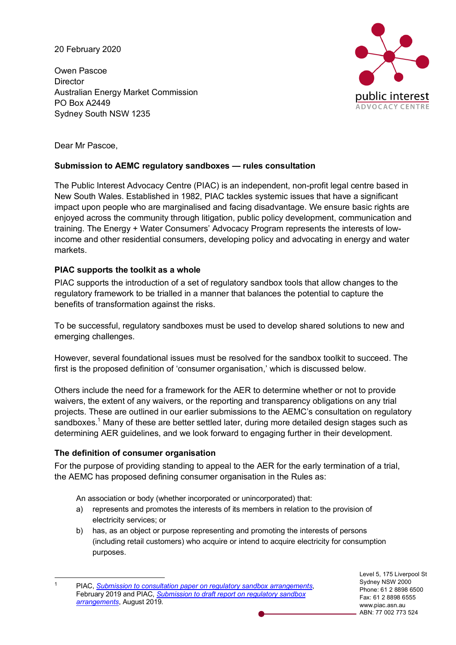20 February 2020

Owen Pascoe **Director** Australian Energy Market Commission PO Box A2449 Sydney South NSW 1235



Dear Mr Pascoe,

# **Submission to AEMC regulatory sandboxes — rules consultation**

The Public Interest Advocacy Centre (PIAC) is an independent, non-profit legal centre based in New South Wales. Established in 1982, PIAC tackles systemic issues that have a significant impact upon people who are marginalised and facing disadvantage. We ensure basic rights are enjoyed across the community through litigation, public policy development, communication and training. The Energy + Water Consumers' Advocacy Program represents the interests of lowincome and other residential consumers, developing policy and advocating in energy and water markets.

## **PIAC supports the toolkit as a whole**

PIAC supports the introduction of a set of regulatory sandbox tools that allow changes to the regulatory framework to be trialled in a manner that balances the potential to capture the benefits of transformation against the risks.

To be successful, regulatory sandboxes must be used to develop shared solutions to new and emerging challenges.

However, several foundational issues must be resolved for the sandbox toolkit to succeed. The first is the proposed definition of 'consumer organisation,' which is discussed below.

Others include the need for a framework for the AER to determine whether or not to provide waivers, the extent of any waivers, or the reporting and transparency obligations on any trial projects. These are outlined in our earlier submissions to the AEMC's consultation on regulatory sandboxes.<sup>1</sup> Many of these are better settled later, during more detailed design stages such as determining AER guidelines, and we look forward to engaging further in their development.

### **The definition of consumer organisation**

For the purpose of providing standing to appeal to the AER for the early termination of a trial, the AEMC has proposed defining consumer organisation in the Rules as:

An association or body (whether incorporated or unincorporated) that:

- a) represents and promotes the interests of its members in relation to the provision of electricity services; or
- b) has, as an object or purpose representing and promoting the interests of persons (including retail customers) who acquire or intend to acquire electricity for consumption purposes.

Level 5, 175 Liverpool St Sydney NSW 2000 Phone: 61 2 8898 6500 Fax: 61 2 8898 6555 www.piac.asn.au ABN: 77 002 773 524

 <sup>1</sup> PIAC, *Submission to consultation paper on regulatory sandbox arrangements*, February 2019 and PIAC, *Submission to draft report on regulatory sandbox arrangements*, August 2019.